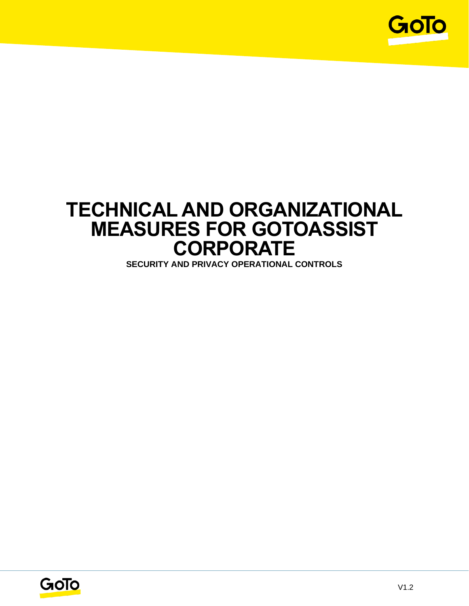

# **TECHNICAL AND ORGANIZATIONAL MEASURES FOR GOTOASSIST CORPORATE**

**SECURITY AND PRIVACY OPERATIONAL CONTROLS**

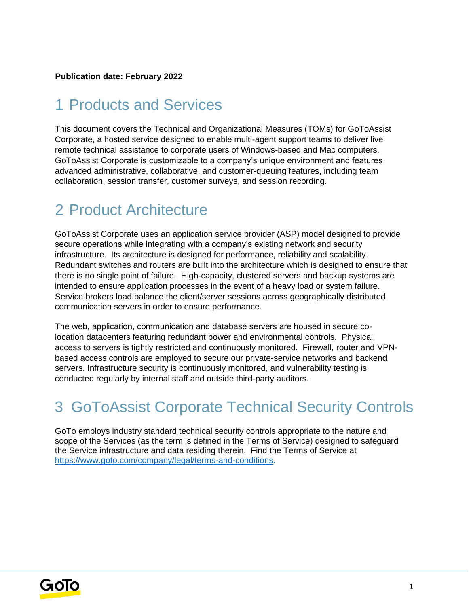#### **Publication date: February 2022**

## 1 Products and Services

This document covers the Technical and Organizational Measures (TOMs) for GoToAssist Corporate, a hosted service designed to enable multi-agent support teams to deliver live remote technical assistance to corporate users of Windows-based and Mac computers. GoToAssist Corporate is customizable to a company's unique environment and features advanced administrative, collaborative, and customer-queuing features, including team collaboration, session transfer, customer surveys, and session recording.

## 2 Product Architecture

GoToAssist Corporate uses an application service provider (ASP) model designed to provide secure operations while integrating with a company's existing network and security infrastructure. Its architecture is designed for performance, reliability and scalability. Redundant switches and routers are built into the architecture which is designed to ensure that there is no single point of failure. High-capacity, clustered servers and backup systems are intended to ensure application processes in the event of a heavy load or system failure. Service brokers load balance the client/server sessions across geographically distributed communication servers in order to ensure performance.

The web, application, communication and database servers are housed in secure colocation datacenters featuring redundant power and environmental controls. Physical access to servers is tightly restricted and continuously monitored. Firewall, router and VPNbased access controls are employed to secure our private-service networks and backend servers. Infrastructure security is continuously monitored, and vulnerability testing is conducted regularly by internal staff and outside third-party auditors.

## 3 GoToAssist Corporate Technical Security Controls

GoTo employs industry standard technical security controls appropriate to the nature and scope of the Services (as the term is defined in the Terms of Service) designed to safeguard the Service infrastructure and data residing therein. Find the Terms of Service a[t](http://www.logmein.com/legal/terms-and-conditions) [https://www.goto.com/company/legal/terms-and-conditions.](https://www.goto.com/company/legal/terms-and-conditions)

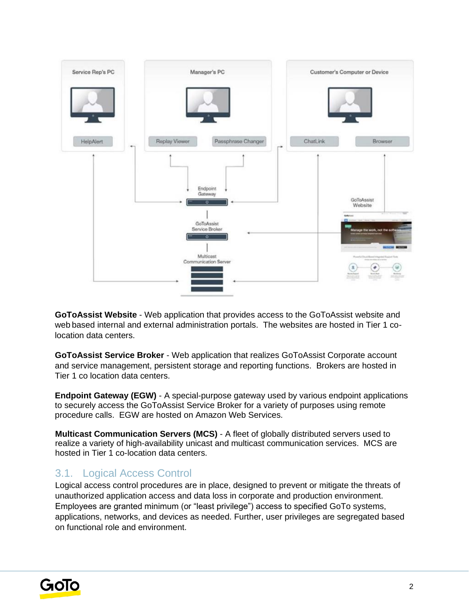

**GoToAssist Website** - Web application that provides access to the GoToAssist website and web based internal and external administration portals. The websites are hosted in Tier 1 colocation data centers.

**GoToAssist Service Broker** - Web application that realizes GoToAssist Corporate account and service management, persistent storage and reporting functions. Brokers are hosted in Tier 1 co location data centers.

**Endpoint Gateway (EGW)** - A special-purpose gateway used by various endpoint applications to securely access the GoToAssist Service Broker for a variety of purposes using remote procedure calls. EGW are hosted on Amazon Web Services.

**Multicast Communication Servers (MCS)** - A fleet of globally distributed servers used to realize a variety of high-availability unicast and multicast communication services. MCS are hosted in Tier 1 co-location data centers.

#### 3.1. Logical Access Control

Logical access control procedures are in place, designed to prevent or mitigate the threats of unauthorized application access and data loss in corporate and production environment. Employees are granted minimum (or "least privilege") access to specified GoTo systems, applications, networks, and devices as needed. Further, user privileges are segregated based on functional role and environment.

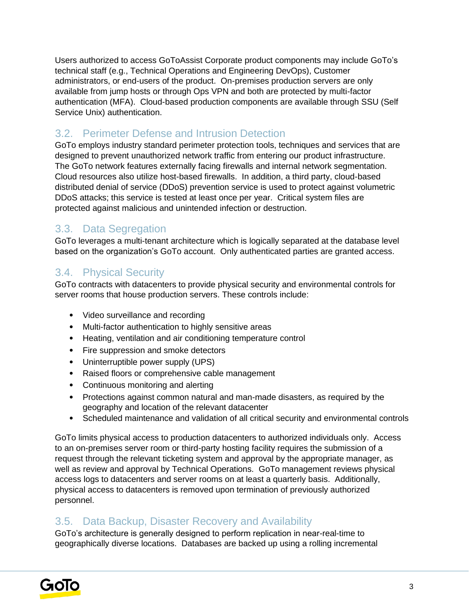Users authorized to access GoToAssist Corporate product components may include GoTo's technical staff (e.g., Technical Operations and Engineering DevOps), Customer administrators, or end-users of the product. On-premises production servers are only available from jump hosts or through Ops VPN and both are protected by multi-factor authentication (MFA). Cloud-based production components are available through SSU (Self Service Unix) authentication.

### 3.2. Perimeter Defense and Intrusion Detection

GoTo employs industry standard perimeter protection tools, techniques and services that are designed to prevent unauthorized network traffic from entering our product infrastructure. The GoTo network features externally facing firewalls and internal network segmentation. Cloud resources also utilize host-based firewalls. In addition, a third party, cloud-based distributed denial of service (DDoS) prevention service is used to protect against volumetric DDoS attacks; this service is tested at least once per year. Critical system files are protected against malicious and unintended infection or destruction.

### 3.3. Data Segregation

GoTo leverages a multi-tenant architecture which is logically separated at the database level based on the organization's GoTo account. Only authenticated parties are granted access.

### 3.4. Physical Security

GoTo contracts with datacenters to provide physical security and environmental controls for server rooms that house production servers. These controls include:

- Video surveillance and recording
- Multi-factor authentication to highly sensitive areas
- Heating, ventilation and air conditioning temperature control
- Fire suppression and smoke detectors
- Uninterruptible power supply (UPS)
- Raised floors or comprehensive cable management
- Continuous monitoring and alerting
- Protections against common natural and man-made disasters, as required by the geography and location of the relevant datacenter
- Scheduled maintenance and validation of all critical security and environmental controls

GoTo limits physical access to production datacenters to authorized individuals only. Access to an on-premises server room or third-party hosting facility requires the submission of a request through the relevant ticketing system and approval by the appropriate manager, as well as review and approval by Technical Operations. GoTo management reviews physical access logs to datacenters and server rooms on at least a quarterly basis. Additionally, physical access to datacenters is removed upon termination of previously authorized personnel.

#### 3.5. Data Backup, Disaster Recovery and Availability

GoTo's architecture is generally designed to perform replication in near-real-time to geographically diverse locations. Databases are backed up using a rolling incremental

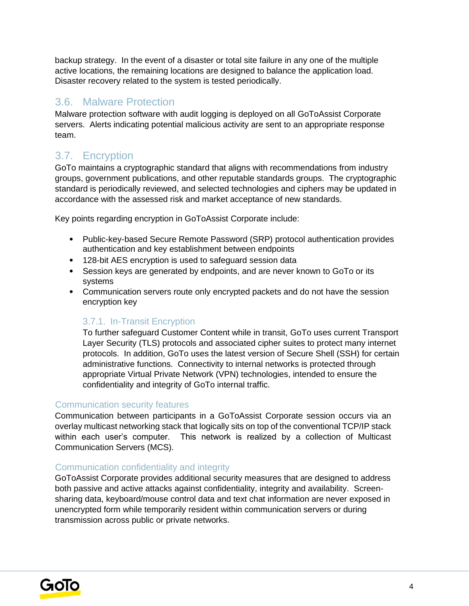backup strategy. In the event of a disaster or total site failure in any one of the multiple active locations, the remaining locations are designed to balance the application load. Disaster recovery related to the system is tested periodically.

#### 3.6. Malware Protection

Malware protection software with audit logging is deployed on all GoToAssist Corporate servers. Alerts indicating potential malicious activity are sent to an appropriate response team.

## 3.7. Encryption

GoTo maintains a cryptographic standard that aligns with recommendations from industry groups, government publications, and other reputable standards groups. The cryptographic standard is periodically reviewed, and selected technologies and ciphers may be updated in accordance with the assessed risk and market acceptance of new standards.

Key points regarding encryption in GoToAssist Corporate include:

- Public-key-based Secure Remote Password (SRP) protocol authentication provides authentication and key establishment between endpoints
- 128-bit AES encryption is used to safeguard session data
- Session keys are generated by endpoints, and are never known to GoTo or its systems
- Communication servers route only encrypted packets and do not have the session encryption key

#### 3.7.1. In-Transit Encryption

To further safeguard Customer Content while in transit, GoTo uses current Transport Layer Security (TLS) protocols and associated cipher suites to protect many internet protocols. In addition, GoTo uses the latest version of Secure Shell (SSH) for certain administrative functions. Connectivity to internal networks is protected through appropriate Virtual Private Network (VPN) technologies, intended to ensure the confidentiality and integrity of GoTo internal traffic.

#### Communication security features

Communication between participants in a GoToAssist Corporate session occurs via an overlay multicast networking stack that logically sits on top of the conventional TCP/IP stack within each user's computer. This network is realized by a collection of Multicast Communication Servers (MCS).

#### Communication confidentiality and integrity

GoToAssist Corporate provides additional security measures that are designed to address both passive and active attacks against confidentiality, integrity and availability. Screensharing data, keyboard/mouse control data and text chat information are never exposed in unencrypted form while temporarily resident within communication servers or during transmission across public or private networks.

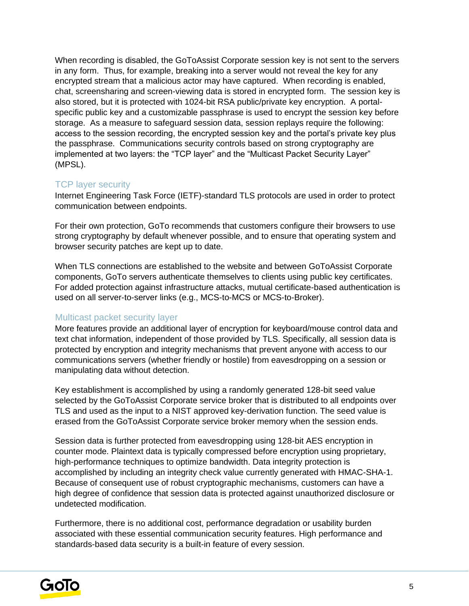When recording is disabled, the GoToAssist Corporate session key is not sent to the servers in any form. Thus, for example, breaking into a server would not reveal the key for any encrypted stream that a malicious actor may have captured. When recording is enabled, chat, screensharing and screen-viewing data is stored in encrypted form. The session key is also stored, but it is protected with 1024-bit RSA public/private key encryption. A portalspecific public key and a customizable passphrase is used to encrypt the session key before storage. As a measure to safeguard session data, session replays require the following: access to the session recording, the encrypted session key and the portal's private key plus the passphrase. Communications security controls based on strong cryptography are implemented at two layers: the "TCP layer" and the "Multicast Packet Security Layer" (MPSL).

#### TCP layer security

Internet Engineering Task Force (IETF)-standard TLS protocols are used in order to protect communication between endpoints.

For their own protection, GoTo recommends that customers configure their browsers to use strong cryptography by default whenever possible, and to ensure that operating system and browser security patches are kept up to date.

When TLS connections are established to the website and between GoToAssist Corporate components, GoTo servers authenticate themselves to clients using public key certificates. For added protection against infrastructure attacks, mutual certificate-based authentication is used on all server-to-server links (e.g., MCS-to-MCS or MCS-to-Broker).

#### Multicast packet security layer

More features provide an additional layer of encryption for keyboard/mouse control data and text chat information, independent of those provided by TLS. Specifically, all session data is protected by encryption and integrity mechanisms that prevent anyone with access to our communications servers (whether friendly or hostile) from eavesdropping on a session or manipulating data without detection.

Key establishment is accomplished by using a randomly generated 128-bit seed value selected by the GoToAssist Corporate service broker that is distributed to all endpoints over TLS and used as the input to a NIST approved key-derivation function. The seed value is erased from the GoToAssist Corporate service broker memory when the session ends.

Session data is further protected from eavesdropping using 128-bit AES encryption in counter mode. Plaintext data is typically compressed before encryption using proprietary, high-performance techniques to optimize bandwidth. Data integrity protection is accomplished by including an integrity check value currently generated with HMAC-SHA-1. Because of consequent use of robust cryptographic mechanisms, customers can have a high degree of confidence that session data is protected against unauthorized disclosure or undetected modification.

Furthermore, there is no additional cost, performance degradation or usability burden associated with these essential communication security features. High performance and standards-based data security is a built-in feature of every session.

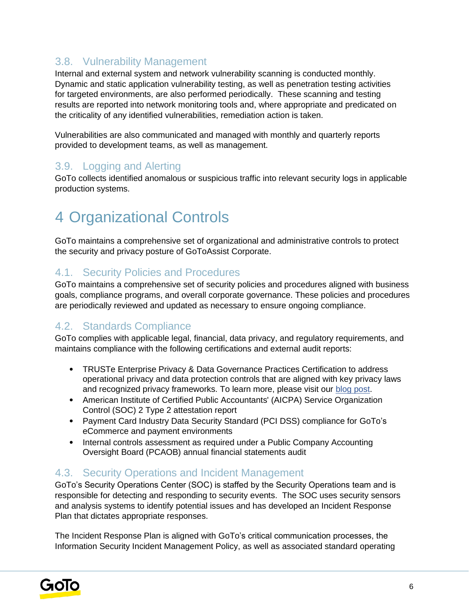### 3.8. Vulnerability Management

Internal and external system and network vulnerability scanning is conducted monthly. Dynamic and static application vulnerability testing, as well as penetration testing activities for targeted environments, are also performed periodically. These scanning and testing results are reported into network monitoring tools and, where appropriate and predicated on the criticality of any identified vulnerabilities, remediation action is taken.

Vulnerabilities are also communicated and managed with monthly and quarterly reports provided to development teams, as well as management.

#### 3.9. Logging and Alerting

GoTo collects identified anomalous or suspicious traffic into relevant security logs in applicable production systems.

## 4 Organizational Controls

GoTo maintains a comprehensive set of organizational and administrative controls to protect the security and privacy posture of GoToAssist Corporate.

#### 4.1. Security Policies and Procedures

GoTo maintains a comprehensive set of security policies and procedures aligned with business goals, compliance programs, and overall corporate governance. These policies and procedures are periodically reviewed and updated as necessary to ensure ongoing compliance.

#### 4.2. Standards Compliance

GoTo complies with applicable legal, financial, data privacy, and regulatory requirements, and maintains compliance with the following certifications and external audit reports:

- TRUSTe Enterprise Privacy & Data Governance Practices Certification to address operational privacy and data protection controls that are aligned with key privacy laws and recognized privacy frameworks. To learn more, please visit ou[r](https://blog.logmeininc.com/logmein-furthers-commitment-to-data-privacy-with-truste-enterprise-privacy-certification-seal/?lang=en) [blog post](https://www.goto.com/blog/logmein-furthers-commitment-to-data-privacy-with-truste-enterprise-privacy-certification-seal)[.](https://blog.logmeininc.com/logmein-furthers-commitment-to-data-privacy-with-truste-enterprise-privacy-certification-seal/?lang=en)
- American Institute of Certified Public Accountants' (AICPA) Service Organization Control (SOC) 2 Type 2 attestation report
- Payment Card Industry Data Security Standard (PCI DSS) compliance for GoTo's eCommerce and payment environments
- Internal controls assessment as required under a Public Company Accounting Oversight Board (PCAOB) annual financial statements audit

#### 4.3. Security Operations and Incident Management

GoTo's Security Operations Center (SOC) is staffed by the Security Operations team and is responsible for detecting and responding to security events. The SOC uses security sensors and analysis systems to identify potential issues and has developed an Incident Response Plan that dictates appropriate responses.

The Incident Response Plan is aligned with GoTo's critical communication processes, the Information Security Incident Management Policy, as well as associated standard operating

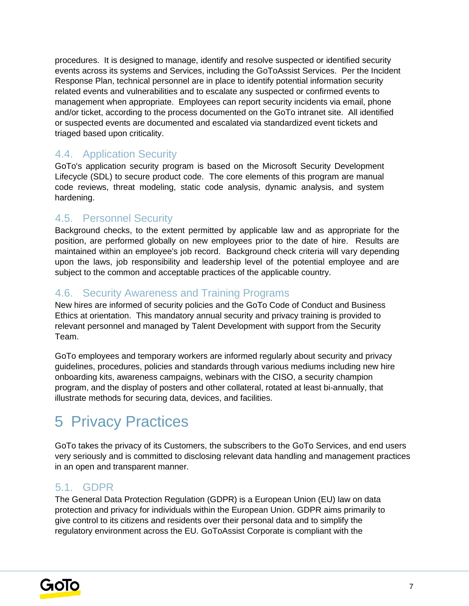procedures. It is designed to manage, identify and resolve suspected or identified security events across its systems and Services, including the GoToAssist Services. Per the Incident Response Plan, technical personnel are in place to identify potential information security related events and vulnerabilities and to escalate any suspected or confirmed events to management when appropriate. Employees can report security incidents via email, phone and/or ticket, according to the process documented on the GoTo intranet site. All identified or suspected events are documented and escalated via standardized event tickets and triaged based upon criticality.

### 4.4. Application Security

GoTo's application security program is based on the Microsoft Security Development Lifecycle (SDL) to secure product code. The core elements of this program are manual code reviews, threat modeling, static code analysis, dynamic analysis, and system hardening.

### 4.5. Personnel Security

Background checks, to the extent permitted by applicable law and as appropriate for the position, are performed globally on new employees prior to the date of hire. Results are maintained within an employee's job record. Background check criteria will vary depending upon the laws, job responsibility and leadership level of the potential employee and are subject to the common and acceptable practices of the applicable country.

### 4.6. Security Awareness and Training Programs

New hires are informed of security policies and the GoTo Code of Conduct and Business Ethics at orientation. This mandatory annual security and privacy training is provided to relevant personnel and managed by Talent Development with support from the Security Team.

GoTo employees and temporary workers are informed regularly about security and privacy guidelines, procedures, policies and standards through various mediums including new hire onboarding kits, awareness campaigns, webinars with the CISO, a security champion program, and the display of posters and other collateral, rotated at least bi-annually, that illustrate methods for securing data, devices, and facilities.

## 5 Privacy Practices

GoTo takes the privacy of its Customers, the subscribers to the GoTo Services, and end users very seriously and is committed to disclosing relevant data handling and management practices in an open and transparent manner.

#### 5.1. GDPR

The General Data Protection Regulation (GDPR) is a European Union (EU) law on data protection and privacy for individuals within the European Union. GDPR aims primarily to give control to its citizens and residents over their personal data and to simplify the regulatory environment across the EU. GoToAssist Corporate is compliant with the

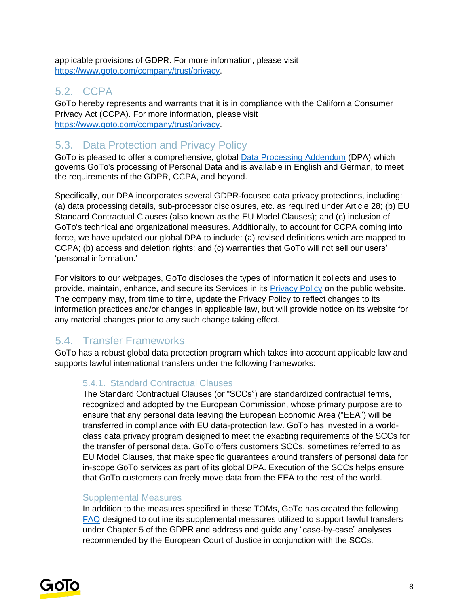applicable provisions of GDPR. For more information, please visit [https://www.goto.com/company/trust/privacy.](https://www.goto.com/company/trust/privacy)

### 5.2. CCPA

GoTo hereby represents and warrants that it is in compliance with the California Consumer Privacy Act (CCPA). For more information, please visit <https://www.goto.com/company/trust/privacy>[.](http://www.logmeininc.com/trust/privacy.)

### 5.3. Data Protection and Privacy Policy

GoTo is pleased to offer a comprehensive, global [Data Processing Addendum](https://www.goto.com/company/legal) (DPA) which governs GoTo's processing of Personal Data and is available in English and German, to meet the requirements of the GDPR, CCPA, and beyond.

Specifically, our DPA incorporates several GDPR-focused data privacy protections, including: (a) data processing details, sub-processor disclosures, etc. as required under Article 28; (b) EU Standard Contractual Clauses (also known as the EU Model Clauses); and (c) inclusion of GoTo's technical and organizational measures. Additionally, to account for CCPA coming into force, we have updated our global DPA to include: (a) revised definitions which are mapped to CCPA; (b) access and deletion rights; and (c) warranties that GoTo will not sell our users' 'personal information.'

For visitors to our webpages, GoTo discloses the types of information it collects and uses to provide, maintain, enhance, and secure its Services in its [Privacy Policy](https://www.goto.com/company/legal/privacy) on the public website. The company may, from time to time, update the Privacy Policy to reflect changes to its information practices and/or changes in applicable law, but will provide notice on its website for any material changes prior to any such change taking effect.

## 5.4. Transfer Frameworks

GoTo has a robust global data protection program which takes into account applicable law and supports lawful international transfers under the following frameworks:

#### 5.4.1. Standard Contractual Clauses

The Standard Contractual Clauses (or "SCCs") are standardized contractual terms, recognized and adopted by the European Commission, whose primary purpose are to ensure that any personal data leaving the European Economic Area ("EEA") will be transferred in compliance with EU data-protection law. GoTo has invested in a worldclass data privacy program designed to meet the exacting requirements of the SCCs for the transfer of personal data. GoTo offers customers SCCs, sometimes referred to as EU Model Clauses, that make specific guarantees around transfers of personal data for in-scope GoTo services as part of its global DPA. Execution of the SCCs helps ensure that GoTo customers can freely move data from the EEA to the rest of the world.

#### Supplemental Measures

In addition to the measures specified in these TOMs, GoTo has created the following [FAQ](https://logmeincdn.azureedge.net/legal/international-data-transfers-faq.pdf) designed to outline its supplemental measures utilized to support lawful transfers under Chapter 5 of the GDPR and address and guide any "case-by-case" analyses recommended by the European Court of Justice in conjunction with the SCCs.

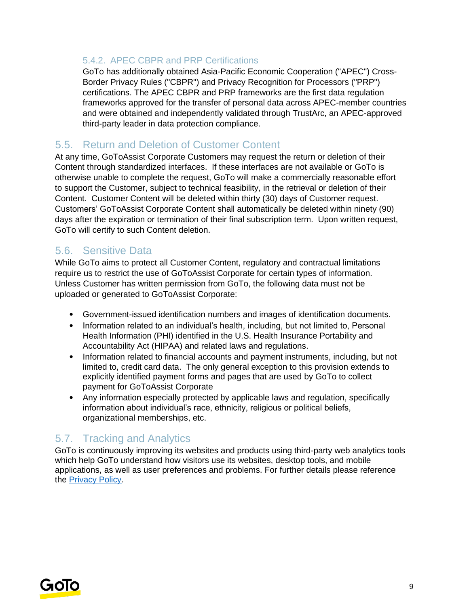#### 5.4.2. APEC CBPR and PRP Certifications

GoTo has additionally obtained Asia-Pacific Economic Cooperation ("APEC") Cross-Border Privacy Rules ("CBPR") and Privacy Recognition for Processors ("PRP") certifications. The APEC CBPR and PRP frameworks are the first data regulation frameworks approved for the transfer of personal data across APEC-member countries and were obtained and independently validated through TrustArc, an APEC-approved third-party leader in data protection compliance.

### 5.5. Return and Deletion of Customer Content

At any time, GoToAssist Corporate Customers may request the return or deletion of their Content through standardized interfaces. If these interfaces are not available or GoTo is otherwise unable to complete the request, GoTo will make a commercially reasonable effort to support the Customer, subject to technical feasibility, in the retrieval or deletion of their Content. Customer Content will be deleted within thirty (30) days of Customer request. Customers' GoToAssist Corporate Content shall automatically be deleted within ninety (90) days after the expiration or termination of their final subscription term. Upon written request, GoTo will certify to such Content deletion.

#### 5.6. Sensitive Data

While GoTo aims to protect all Customer Content, regulatory and contractual limitations require us to restrict the use of GoToAssist Corporate for certain types of information. Unless Customer has written permission from GoTo, the following data must not be uploaded or generated to GoToAssist Corporate:

- Government-issued identification numbers and images of identification documents.
- Information related to an individual's health, including, but not limited to, Personal Health Information (PHI) identified in the U.S. Health Insurance Portability and Accountability Act (HIPAA) and related laws and regulations.
- Information related to financial accounts and payment instruments, including, but not limited to, credit card data. The only general exception to this provision extends to explicitly identified payment forms and pages that are used by GoTo to collect payment for GoToAssist Corporate
- Anv information especially protected by applicable laws and regulation, specifically information about individual's race, ethnicity, religious or political beliefs, organizational memberships, etc.

## 5.7. Tracking and Analytics

GoTo is continuously improving its websites and products using third-party web analytics tools which help GoTo understand how visitors use its websites, desktop tools, and mobile applications, as well as user preferences and problems. For further details please reference the [Privacy Policy](https://www.goto.com/company/trust/privacy)[.](https://www.logmein.com/legal/privacy)